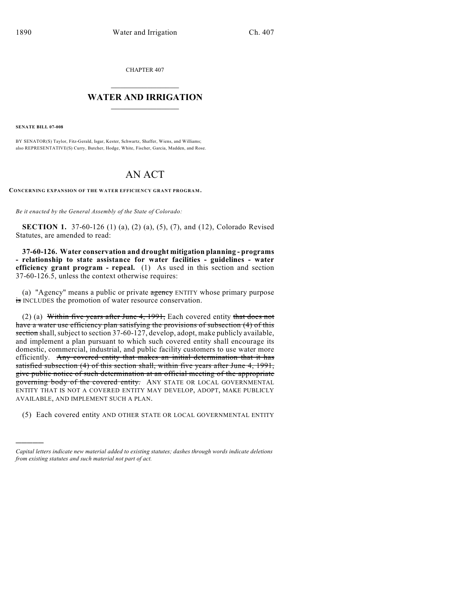CHAPTER 407

## $\overline{\phantom{a}}$  . The set of the set of the set of the set of the set of the set of the set of the set of the set of the set of the set of the set of the set of the set of the set of the set of the set of the set of the set o **WATER AND IRRIGATION**  $\_$   $\_$

**SENATE BILL 07-008**

)))))

BY SENATOR(S) Taylor, Fitz-Gerald, Isgar, Kester, Schwartz, Shaffer, Wiens, and Williams; also REPRESENTATIVE(S) Curry, Butcher, Hodge, White, Fischer, Garcia, Madden, and Rose.

## AN ACT

**CONCERNING EXPANSION OF THE WATER EFFICIENCY GRANT PROGRAM.**

*Be it enacted by the General Assembly of the State of Colorado:*

**SECTION 1.** 37-60-126 (1) (a), (2) (a), (5), (7), and (12), Colorado Revised Statutes, are amended to read:

**37-60-126. Water conservation and drought mitigation planning - programs - relationship to state assistance for water facilities - guidelines - water efficiency grant program - repeal.** (1) As used in this section and section 37-60-126.5, unless the context otherwise requires:

(a) "Agency" means a public or private agency ENTITY whose primary purpose is INCLUDES the promotion of water resource conservation.

(2) (a) Within five years after June 4, 1991, Each covered entity that does not have a water use efficiency plan satisfying the provisions of subsection (4) of this section shall, subject to section 37-60-127, develop, adopt, make publicly available, and implement a plan pursuant to which such covered entity shall encourage its domestic, commercial, industrial, and public facility customers to use water more efficiently. Any covered entity that makes an initial determination that it has satisfied subsection (4) of this section shall, within five years after June 4, 1991, give public notice of such determination at an official meeting of the appropriate governing body of the covered entity. ANY STATE OR LOCAL GOVERNMENTAL ENTITY THAT IS NOT A COVERED ENTITY MAY DEVELOP, ADOPT, MAKE PUBLICLY AVAILABLE, AND IMPLEMENT SUCH A PLAN.

(5) Each covered entity AND OTHER STATE OR LOCAL GOVERNMENTAL ENTITY

*Capital letters indicate new material added to existing statutes; dashes through words indicate deletions from existing statutes and such material not part of act.*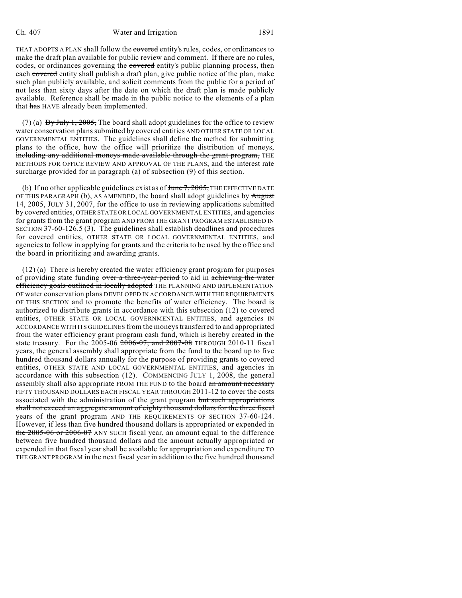THAT ADOPTS A PLAN shall follow the covered entity's rules, codes, or ordinances to make the draft plan available for public review and comment. If there are no rules, codes, or ordinances governing the covered entity's public planning process, then each covered entity shall publish a draft plan, give public notice of the plan, make such plan publicly available, and solicit comments from the public for a period of not less than sixty days after the date on which the draft plan is made publicly available. Reference shall be made in the public notice to the elements of a plan that has HAVE already been implemented.

(7) (a) By July 1, 2005, The board shall adopt guidelines for the office to review water conservation plans submitted by covered entities AND OTHER STATE OR LOCAL GOVERNMENTAL ENTITIES. The guidelines shall define the method for submitting plans to the office, how the office will prioritize the distribution of moneys, including any additional moneys made available through the grant program, THE METHODS FOR OFFICE REVIEW AND APPROVAL OF THE PLANS, and the interest rate surcharge provided for in paragraph (a) of subsection (9) of this section.

(b) If no other applicable guidelines exist as of  $f_{\text{tunc}}$   $\frac{7}{2005}$ , THE EFFECTIVE DATE OF THIS PARAGRAPH  $(b)$ , AS AMENDED, the board shall adopt guidelines by  $\overline{August}$ 14, 2005, JULY 31, 2007, for the office to use in reviewing applications submitted by covered entities, OTHER STATE OR LOCAL GOVERNMENTAL ENTITIES, and agencies for grants from the grant program AND FROM THE GRANT PROGRAM ESTABLISHED IN SECTION 37-60-126.5 (3). The guidelines shall establish deadlines and procedures for covered entities, OTHER STATE OR LOCAL GOVERNMENTAL ENTITIES, and agencies to follow in applying for grants and the criteria to be used by the office and the board in prioritizing and awarding grants.

(12) (a) There is hereby created the water efficiency grant program for purposes of providing state funding over a three-year period to aid in achieving the water efficiency goals outlined in locally adopted THE PLANNING AND IMPLEMENTATION OF water conservation plans DEVELOPED IN ACCORDANCE WITH THE REQUIREMENTS OF THIS SECTION and to promote the benefits of water efficiency. The board is authorized to distribute grants in accordance with this subsection  $(12)$  to covered entities, OTHER STATE OR LOCAL GOVERNMENTAL ENTITIES, and agencies IN ACCORDANCE WITH ITS GUIDELINES from the moneys transferred to and appropriated from the water efficiency grant program cash fund, which is hereby created in the state treasury. For the 2005-06 2006-07, and 2007-08 THROUGH 2010-11 fiscal years, the general assembly shall appropriate from the fund to the board up to five hundred thousand dollars annually for the purpose of providing grants to covered entities, OTHER STATE AND LOCAL GOVERNMENTAL ENTITIES, and agencies in accordance with this subsection (12). COMMENCING JULY 1, 2008, the general assembly shall also appropriate FROM THE FUND to the board an amount necessary FIFTY THOUSAND DOLLARS EACH FISCAL YEAR THROUGH 2011-12 to cover the costs associated with the administration of the grant program but such appropriations shall not exceed an aggregate amount of eighty thousand dollars for the three fiscal years of the grant program AND THE REQUIREMENTS OF SECTION 37-60-124. However, if less than five hundred thousand dollars is appropriated or expended in the 2005-06 or 2006-07 ANY SUCH fiscal year, an amount equal to the difference between five hundred thousand dollars and the amount actually appropriated or expended in that fiscal year shall be available for appropriation and expenditure TO THE GRANT PROGRAM in the next fiscal year in addition to the five hundred thousand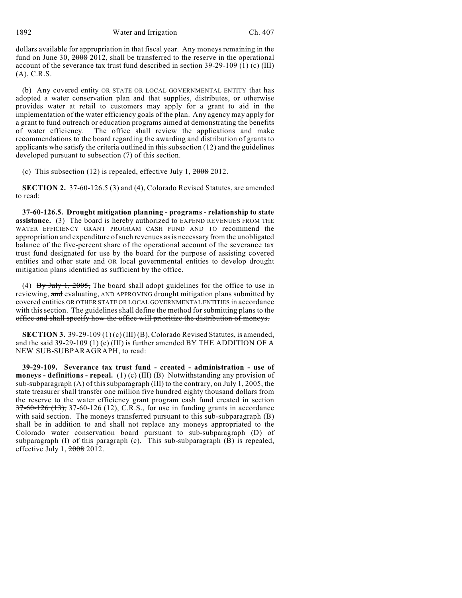1892 Water and Irrigation Ch. 407

dollars available for appropriation in that fiscal year. Any moneys remaining in the fund on June 30, 2008 2012, shall be transferred to the reserve in the operational account of the severance tax trust fund described in section 39-29-109 (1) (c) (III) (A), C.R.S.

(b) Any covered entity OR STATE OR LOCAL GOVERNMENTAL ENTITY that has adopted a water conservation plan and that supplies, distributes, or otherwise provides water at retail to customers may apply for a grant to aid in the implementation of the water efficiency goals of the plan. Any agency may apply for a grant to fund outreach or education programs aimed at demonstrating the benefits of water efficiency. The office shall review the applications and make recommendations to the board regarding the awarding and distribution of grants to applicants who satisfy the criteria outlined in this subsection (12) and the guidelines developed pursuant to subsection (7) of this section.

(c) This subsection (12) is repealed, effective July 1,  $2008$  2012.

**SECTION 2.** 37-60-126.5 (3) and (4), Colorado Revised Statutes, are amended to read:

**37-60-126.5. Drought mitigation planning - programs - relationship to state assistance.** (3) The board is hereby authorized to EXPEND REVENUES FROM THE WATER EFFICIENCY GRANT PROGRAM CASH FUND AND TO recommend the appropriation and expenditure of such revenues as is necessary from the unobligated balance of the five-percent share of the operational account of the severance tax trust fund designated for use by the board for the purpose of assisting covered entities and other state and OR local governmental entities to develop drought mitigation plans identified as sufficient by the office.

(4) By July 1, 2005, The board shall adopt guidelines for the office to use in reviewing, and evaluating, AND APPROVING drought mitigation plans submitted by covered entities OR OTHER STATE OR LOCAL GOVERNMENTAL ENTITIES in accordance with this section. The guidelines shall define the method for submitting plans to the office and shall specify how the office will prioritize the distribution of moneys.

**SECTION 3.** 39-29-109 (1) (c) (III) (B), Colorado Revised Statutes, is amended, and the said 39-29-109 (1) (c) (III) is further amended BY THE ADDITION OF A NEW SUB-SUBPARAGRAPH, to read:

**39-29-109. Severance tax trust fund - created - administration - use of moneys - definitions - repeal.** (1) (c) (III) (B) Notwithstanding any provision of sub-subparagraph (A) of this subparagraph (III) to the contrary, on July 1, 2005, the state treasurer shall transfer one million five hundred eighty thousand dollars from the reserve to the water efficiency grant program cash fund created in section  $37-60-126$  (13),  $37-60-126$  (12), C.R.S., for use in funding grants in accordance with said section. The moneys transferred pursuant to this sub-subparagraph (B) shall be in addition to and shall not replace any moneys appropriated to the Colorado water conservation board pursuant to sub-subparagraph (D) of subparagraph  $(I)$  of this paragraph  $(c)$ . This sub-subparagraph  $(B)$  is repealed, effective July 1, 2008 2012.